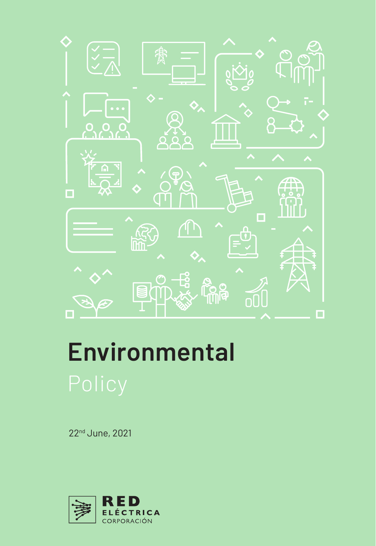

## **Environmental**

22nd June, 2021

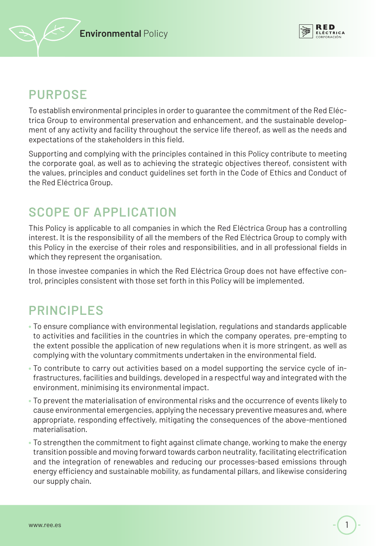



## **PURPOSE**

To establish environmental principles in order to guarantee the commitment of the Red Eléctrica Group to environmental preservation and enhancement, and the sustainable development of any activity and facility throughout the service life thereof, as well as the needs and expectations of the stakeholders in this field.

Supporting and complying with the principles contained in this Policy contribute to meeting the corporate goal, as well as to achieving the strategic objectives thereof, consistent with the values, principles and conduct guidelines set forth in the Code of Ethics and Conduct of the Red Eléctrica Group.

## **SCOPE OF APPLICATION**

This Policy is applicable to all companies in which the Red Eléctrica Group has a controlling interest. It is the responsibility of all the members of the Red Eléctrica Group to comply with this Policy in the exercise of their roles and responsibilities, and in all professional fields in which they represent the organisation.

In those investee companies in which the Red Eléctrica Group does not have effective control, principles consistent with those set forth in this Policy will be implemented.

## **PRINCIPLES**

- To ensure compliance with environmental legislation, regulations and standards applicable to activities and facilities in the countries in which the company operates, pre-empting to the extent possible the application of new regulations when it is more stringent, as well as complying with the voluntary commitments undertaken in the environmental field.
- To contribute to carry out activities based on a model supporting the service cycle of infrastructures, facilities and buildings, developed in a respectful way and integrated with the environment, minimising its environmental impact.
- To prevent the materialisation of environmental risks and the occurrence of events likely to cause environmental emergencies, applying the necessary preventive measures and, where appropriate, responding effectively, mitigating the consequences of the above-mentioned materialisation.
- To strengthen the commitment to fight against climate change, working to make the energy transition possible and moving forward towards carbon neutrality, facilitating electrification and the integration of renewables and reducing our processes-based emissions through energy efficiency and sustainable mobility, as fundamental pillars, and likewise considering our supply chain.